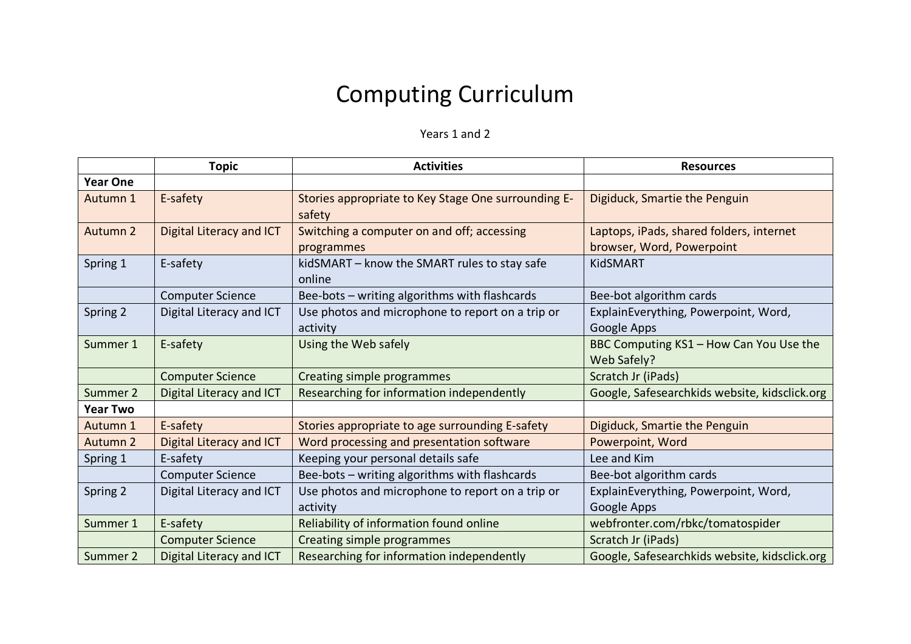## Computing Curriculum

## Years 1 and 2

|                     | <b>Topic</b>             | <b>Activities</b>                                             | <b>Resources</b>                                                      |
|---------------------|--------------------------|---------------------------------------------------------------|-----------------------------------------------------------------------|
| <b>Year One</b>     |                          |                                                               |                                                                       |
| Autumn 1            | E-safety                 | Stories appropriate to Key Stage One surrounding E-<br>safety | Digiduck, Smartie the Penguin                                         |
| Autumn 2            | Digital Literacy and ICT | Switching a computer on and off; accessing<br>programmes      | Laptops, iPads, shared folders, internet<br>browser, Word, Powerpoint |
| Spring 1            | E-safety                 | kidSMART - know the SMART rules to stay safe<br>online        | <b>KidSMART</b>                                                       |
|                     | <b>Computer Science</b>  | Bee-bots - writing algorithms with flashcards                 | Bee-bot algorithm cards                                               |
| Spring 2            | Digital Literacy and ICT | Use photos and microphone to report on a trip or<br>activity  | ExplainEverything, Powerpoint, Word,<br>Google Apps                   |
| Summer 1            | E-safety                 | Using the Web safely                                          | BBC Computing KS1 - How Can You Use the<br>Web Safely?                |
|                     | <b>Computer Science</b>  | Creating simple programmes                                    | Scratch Jr (iPads)                                                    |
| Summer 2            | Digital Literacy and ICT | Researching for information independently                     | Google, Safesearchkids website, kidsclick.org                         |
| <b>Year Two</b>     |                          |                                                               |                                                                       |
| Autumn 1            | E-safety                 | Stories appropriate to age surrounding E-safety               | Digiduck, Smartie the Penguin                                         |
| Autumn <sub>2</sub> | Digital Literacy and ICT | Word processing and presentation software                     | Powerpoint, Word                                                      |
| Spring 1            | E-safety                 | Keeping your personal details safe                            | Lee and Kim                                                           |
|                     | <b>Computer Science</b>  | Bee-bots - writing algorithms with flashcards                 | Bee-bot algorithm cards                                               |
| Spring 2            | Digital Literacy and ICT | Use photos and microphone to report on a trip or<br>activity  | ExplainEverything, Powerpoint, Word,<br>Google Apps                   |
| Summer 1            | E-safety                 | Reliability of information found online                       | webfronter.com/rbkc/tomatospider                                      |
|                     | <b>Computer Science</b>  | Creating simple programmes                                    | Scratch Jr (iPads)                                                    |
| Summer 2            | Digital Literacy and ICT | Researching for information independently                     | Google, Safesearchkids website, kidsclick.org                         |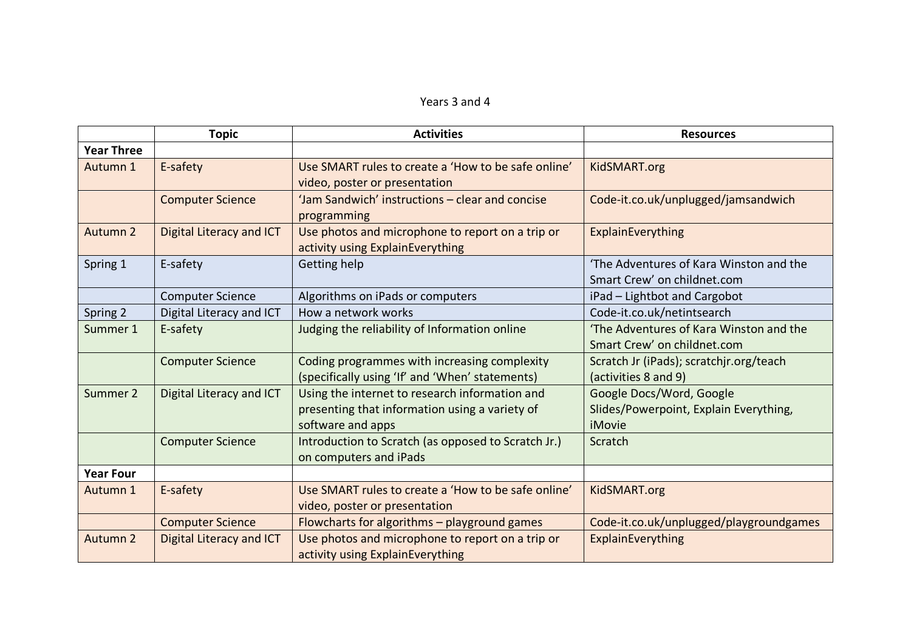| Years 3 and 4 |  |  |  |
|---------------|--|--|--|
|---------------|--|--|--|

|                   | <b>Topic</b>             | <b>Activities</b>                                   | <b>Resources</b>                        |
|-------------------|--------------------------|-----------------------------------------------------|-----------------------------------------|
| <b>Year Three</b> |                          |                                                     |                                         |
| Autumn 1          | E-safety                 | Use SMART rules to create a 'How to be safe online' | KidSMART.org                            |
|                   |                          | video, poster or presentation                       |                                         |
|                   | <b>Computer Science</b>  | 'Jam Sandwich' instructions - clear and concise     | Code-it.co.uk/unplugged/jamsandwich     |
|                   |                          | programming                                         |                                         |
| Autumn 2          | Digital Literacy and ICT | Use photos and microphone to report on a trip or    | ExplainEverything                       |
|                   |                          | activity using ExplainEverything                    |                                         |
| Spring 1          | E-safety                 | Getting help                                        | 'The Adventures of Kara Winston and the |
|                   |                          |                                                     | Smart Crew' on childnet.com             |
|                   | <b>Computer Science</b>  | Algorithms on iPads or computers                    | iPad - Lightbot and Cargobot            |
| Spring 2          | Digital Literacy and ICT | How a network works                                 | Code-it.co.uk/netintsearch              |
| Summer 1          | E-safety                 | Judging the reliability of Information online       | 'The Adventures of Kara Winston and the |
|                   |                          |                                                     | Smart Crew' on childnet.com             |
|                   | <b>Computer Science</b>  | Coding programmes with increasing complexity        | Scratch Jr (iPads); scratchjr.org/teach |
|                   |                          | (specifically using 'If' and 'When' statements)     | (activities 8 and 9)                    |
| Summer 2          | Digital Literacy and ICT | Using the internet to research information and      | Google Docs/Word, Google                |
|                   |                          | presenting that information using a variety of      | Slides/Powerpoint, Explain Everything,  |
|                   |                          | software and apps                                   | iMovie                                  |
|                   | <b>Computer Science</b>  | Introduction to Scratch (as opposed to Scratch Jr.) | Scratch                                 |
|                   |                          | on computers and iPads                              |                                         |
| <b>Year Four</b>  |                          |                                                     |                                         |
| Autumn 1          | E-safety                 | Use SMART rules to create a 'How to be safe online' | KidSMART.org                            |
|                   |                          | video, poster or presentation                       |                                         |
|                   | <b>Computer Science</b>  | Flowcharts for algorithms - playground games        | Code-it.co.uk/unplugged/playgroundgames |
| Autumn 2          | Digital Literacy and ICT | Use photos and microphone to report on a trip or    | ExplainEverything                       |
|                   |                          | activity using ExplainEverything                    |                                         |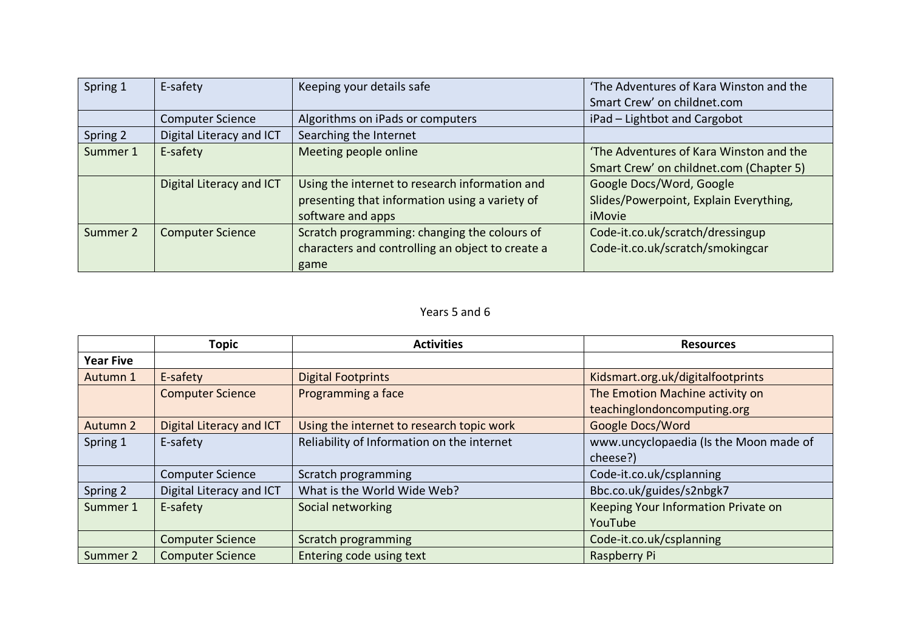| Spring 1 | E-safety                 | Keeping your details safe                        | 'The Adventures of Kara Winston and the |
|----------|--------------------------|--------------------------------------------------|-----------------------------------------|
|          |                          |                                                  | Smart Crew' on childnet.com             |
|          | <b>Computer Science</b>  | Algorithms on iPads or computers                 | iPad - Lightbot and Cargobot            |
| Spring 2 | Digital Literacy and ICT | Searching the Internet                           |                                         |
| Summer 1 | E-safety                 | Meeting people online                            | 'The Adventures of Kara Winston and the |
|          |                          |                                                  | Smart Crew' on childnet.com (Chapter 5) |
|          | Digital Literacy and ICT | Using the internet to research information and   | Google Docs/Word, Google                |
|          |                          | presenting that information using a variety of   | Slides/Powerpoint, Explain Everything,  |
|          |                          | software and apps                                | iMovie                                  |
| Summer 2 | <b>Computer Science</b>  | Scratch programming: changing the colours of     | Code-it.co.uk/scratch/dressingup        |
|          |                          | characters and controlling an object to create a | Code-it.co.uk/scratch/smokingcar        |
|          |                          | game                                             |                                         |

## Years 5 and 6

|                  | <b>Topic</b>             | <b>Activities</b>                          | <b>Resources</b>                       |
|------------------|--------------------------|--------------------------------------------|----------------------------------------|
| <b>Year Five</b> |                          |                                            |                                        |
| Autumn 1         | E-safety                 | <b>Digital Footprints</b>                  | Kidsmart.org.uk/digitalfootprints      |
|                  | <b>Computer Science</b>  | Programming a face                         | The Emotion Machine activity on        |
|                  |                          |                                            | teachinglondoncomputing.org            |
| Autumn 2         | Digital Literacy and ICT | Using the internet to research topic work  | Google Docs/Word                       |
| Spring 1         | E-safety                 | Reliability of Information on the internet | www.uncyclopaedia (Is the Moon made of |
|                  |                          |                                            | cheese?)                               |
|                  | <b>Computer Science</b>  | Scratch programming                        | Code-it.co.uk/csplanning               |
| Spring 2         | Digital Literacy and ICT | What is the World Wide Web?                | Bbc.co.uk/guides/s2nbgk7               |
| Summer 1         | E-safety                 | Social networking                          | Keeping Your Information Private on    |
|                  |                          |                                            | YouTube                                |
|                  | <b>Computer Science</b>  | Scratch programming                        | Code-it.co.uk/csplanning               |
| Summer 2         | <b>Computer Science</b>  | Entering code using text                   | Raspberry Pi                           |